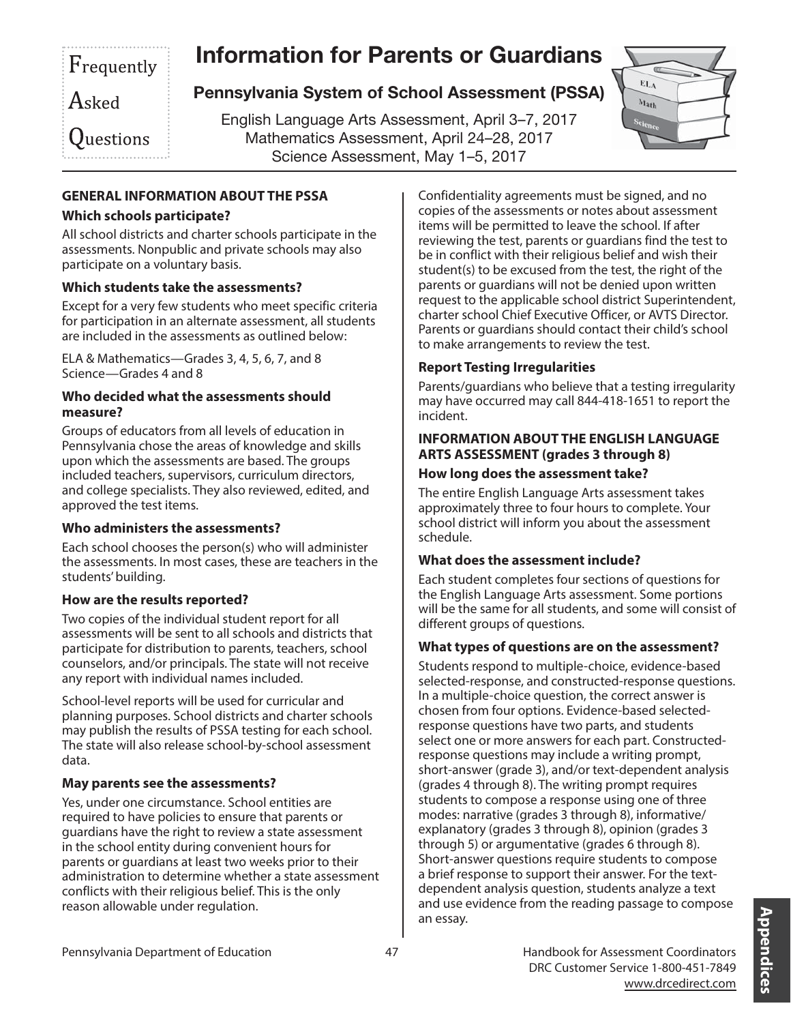## Frequently

# **Information for Parents or Guardians**

Asked

Questions

## **Pennsylvania System of School Assessment (PSSA)**

<sup>E</sup>nglish Language Arts Assessment, April 3–7, 2<sup>017</sup> <sup>M</sup>athematics Assessment, April 24–28, 2<sup>017</sup> Science Assessment, May 1–5, 2<sup>017</sup>



## **GENERAL INFORMATION ABOUT THE PSSA**

#### **Which schools participate?**

All school districts and charter schools participate in the assessments. Nonpublic and private schools may also participate on a voluntary basis.

### **Which students take the assessments?**

Except for a very few students who meet specific criteria for participation in an alternate assessment, all students are included in the assessments as outlined below:

ELA & Mathematics—Grades 3, 4, 5, 6, 7, and 8 Science—Grades 4 and 8

#### **Who decided what the assessments should measure?**

Groups of educators from all levels of education in Pennsylvania chose the areas of knowledge and skills upon which the assessments are based. The groups included teachers, supervisors, curriculum directors, and college specialists. They also reviewed, edited, and approved the test items.

### **Who administers the assessments?**

Each school chooses the person(s) who will administer the assessments. In most cases, these are teachers in the students' building.

### **How are the results reported?**

Two copies of the individual student report for all assessments will be sent to all schools and districts that participate for distribution to parents, teachers, school counselors, and/or principals. The state will not receive any report with individual names included.

School-level reports will be used for curricular and planning purposes. School districts and charter schools may publish the results of PSSA testing for each school. The state will also release school-by-school assessment data.

### **May parents see the assessments?**

Yes, under one circumstance. School entities are required to have policies to ensure that parents or guardians have the right to review a state assessment in the school entity during convenient hours for parents or guardians at least two weeks prior to their administration to determine whether a state assessment conflicts with their religious belief. This is the only reason allowable under regulation.

Confidentiality agreements must be signed, and no copies of the assessments or notes about assessment items will be permitted to leave the school. If after reviewing the test, parents or guardians find the test to be in conflict with their religious belief and wish their student(s) to be excused from the test, the right of the parents or guardians will not be denied upon written request to the applicable school district Superintendent, charter school Chief Executive Officer, or AVTS Director. Parents or guardians should contact their child's school to make arrangements to review the test.

### **Report Testing Irregularities**

Parents/guardians who believe that a testing irregularity may have occurred may call 844-418-1651 to report the incident.

#### **INFORMATION ABOUT THE ENGLISH LANGUAGE ARTS ASSESSMENT (grades 3 through 8)**

#### **How long does the assessment take?**

The entire English Language Arts assessment takes approximately three to four hours to complete. Your school district will inform you about the assessment schedule.

### **What does the assessment include?**

Each student completes four sections of questions for the English Language Arts assessment. Some portions will be the same for all students, and some will consist of different groups of questions.

### **What types of questions are on the assessment?**

Students respond to multiple-choice, evidence-based selected-response, and constructed-response questions. In a multiple-choice question, the correct answer is chosen from four options. Evidence-based selectedresponse questions have two parts, and students select one or more answers for each part. Constructedresponse questions may include a writing prompt, short-answer (grade 3), and/or text-dependent analysis (grades 4 through 8). The writing prompt requires students to compose a response using one of three modes: narrative (grades 3 through 8), informative/ explanatory (grades 3 through 8), opinion (grades 3 through 5) or argumentative (grades 6 through 8). Short-answer questions require students to compose a brief response to support their answer. For the textdependent analysis question, students analyze a text and use evidence from the reading passage to compose an essay.